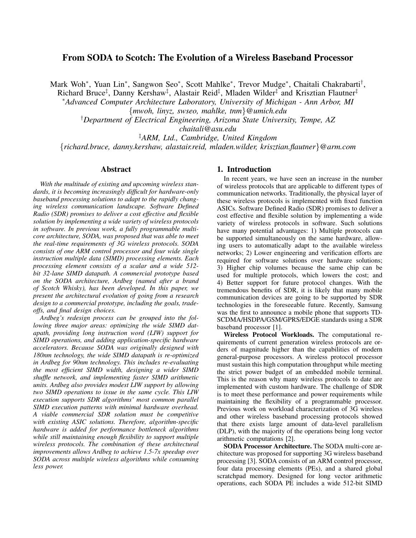# From SODA to Scotch: The Evolution of a Wireless Baseband Processor

Mark Woh\*, Yuan Lin\*, Sangwon Seo\*, Scott Mahlke\*, Trevor Mudge\*, Chaitali Chakrabarti<sup>†</sup>,

Richard Bruce<sup>‡</sup>, Danny Kershaw<sup>‡</sup>, Alastair Reid<sup>‡</sup>, Mladen Wilder<sup>‡</sup> and Krisztian Flautner<sup>‡</sup>

<sup>∗</sup>*Advanced Computer Architecture Laboratory, University of Michigan - Ann Arbor, MI* {*mwoh, linyz, swseo, mahlke, tnm*}*@umich.edu*

†*Department of Electrical Engineering, Arizona State University, Tempe, AZ*

*chaitali@asu.edu*

‡*ARM, Ltd., Cambridge, United Kingdom*

{*richard.bruce, danny.kershaw, alastair.reid, mladen.wilder, krisztian.flautner*}*@arm.com*

## Abstract

*With the multitude of existing and upcoming wireless standards, it is becoming increasingly difficult for hardware-only baseband processing solutions to adapt to the rapidly changing wireless communication landscape. Software Defined Radio (SDR) promises to deliver a cost effective and flexible solution by implementing a wide variety of wireless protocols in software. In previous work, a fully programmable multicore architecture, SODA, was proposed that was able to meet the real-time requirements of 3G wireless protocols. SODA consists of one ARM control processor and four wide single instruction multiple data (SIMD) processing elements. Each processing element consists of a scalar and a wide 512 bit 32-lane SIMD datapath. A commercial prototype based on the SODA architecture, Ardbeg (named after a brand of Scotch Whisky), has been developed. In this paper, we present the architectural evolution of going from a research design to a commercial prototype, including the goals, tradeoffs, and final design choices.*

*Ardbeg's redesign process can be grouped into the following three major areas: optimizing the wide SIMD datapath, providing long instruction word (LIW) support for SIMD operations, and adding application-specific hardware accelerators. Because SODA was originally designed with 180nm technology, the wide SIMD datapath is re-optimized in Ardbeg for 90nm technology. This includes re-evaluating the most efficient SIMD width, designing a wider SIMD shuffle network, and implementing faster SIMD arithmetic units. Ardbeg also provides modest LIW support by allowing two SIMD operations to issue in the same cycle. This LIW execution supports SDR algorithms' most common parallel SIMD execution patterns with minimal hardware overhead. A viable commercial SDR solution must be competitive with existing ASIC solutions. Therefore, algorithm-specific hardware is added for performance bottleneck algorithms while still maintaining enough flexibility to support multiple wireless protocols. The combination of these architectural improvements allows Ardbeg to achieve 1.5-7x speedup over SODA across multiple wireless algorithms while consuming less power.*

# 1. Introduction

In recent years, we have seen an increase in the number of wireless protocols that are applicable to different types of communication networks. Traditionally, the physical layer of these wireless protocols is implemented with fixed function ASICs. Software Defined Radio (SDR) promises to deliver a cost effective and flexible solution by implementing a wide variety of wireless protocols in software. Such solutions have many potential advantages: 1) Multiple protocols can be supported simultaneously on the same hardware, allowing users to automatically adapt to the available wireless networks; 2) Lower engineering and verification efforts are required for software solutions over hardware solutions; 3) Higher chip volumes because the same chip can be used for multiple protocols, which lowers the cost; and 4) Better support for future protocol changes. With the tremendous benefits of SDR, it is likely that many mobile communication devices are going to be supported by SDR technologies in the foreseeable future. Recently, Samsung was the first to announce a mobile phone that supports TD-SCDMA/HSDPA/GSM/GPRS/EDGE standards using a SDR baseband processor [1].

Wireless Protocol Workloads. The computational requirements of current generation wireless protocols are orders of magnitude higher than the capabilities of modern general-purpose processors. A wireless protocol processor must sustain this high computation throughput while meeting the strict power budget of an embedded mobile terminal. This is the reason why many wireless protocols to date are implemented with custom hardware. The challenge of SDR is to meet these performance and power requirements while maintaining the flexibility of a programmable processor. Previous work on workload characterization of 3G wireless and other wireless baseband processing protocols showed that there exists large amount of data-level parallelism (DLP), with the majority of the operations being long vector arithmetic computations [2].

SODA Processor Architecture. The SODA multi-core architecture was proposed for supporting 3G wireless baseband processing [3]. SODA consists of an ARM control processor, four data processing elements (PEs), and a shared global scratchpad memory. Designed for long vector arithmetic operations, each SODA PE includes a wide 512-bit SIMD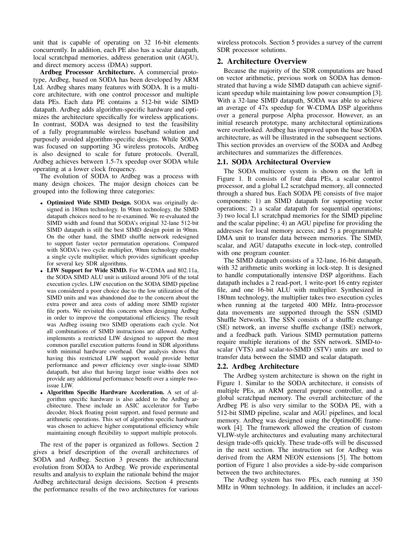unit that is capable of operating on 32 16-bit elements concurrently. In addition, each PE also has a scalar datapath, local scratchpad memories, address generation unit (AGU), and direct memory access (DMA) support.

Ardbeg Processor Architecture. A commercial prototype, Ardbeg, based on SODA has been developed by ARM Ltd. Ardbeg shares many features with SODA. It is a multicore architecture, with one control processor and multiple data PEs. Each data PE contains a 512-bit wide SIMD datapath. Ardbeg adds algorithm-specific hardware and optimizes the architecture specifically for wireless applications. In contrast, SODA was designed to test the feasibility of a fully programmable wireless baseband solution and purposely avoided algorithm-specific designs. While SODA was focused on supporting 3G wireless protocols, Ardbeg is also designed to scale for future protocols. Overall, Ardbeg achieves between 1.5-7x speedup over SODA while operating at a lower clock frequency.

The evolution of SODA to Ardbeg was a process with many design choices. The major design choices can be grouped into the following three categories:

- Optimized Wide SIMD Design. SODA was originally designed in 180nm technology. In 90nm technology, the SIMD datapath choices need to be re-examined. We re-evaluated the SIMD width and found that SODA's original 32-lane 512-bit SIMD datapath is still the best SIMD design point in 90nm. On the other hand, the SIMD shuffle network redesigned to support faster vector permutation operations. Compared with SODA's two cycle multiplier, 90nm technology enables a single cycle multiplier, which provides significant speedup for several key SDR algorithms.
- LIW Support for Wide SIMD. For W-CDMA and 802.11a, the SODA SIMD ALU unit is utilized around 30% of the total execution cycles. LIW execution on the SODA SIMD pipeline was considered a poor choice due to the low utilization of the SIMD units and was abandoned due to the concern about the extra power and area costs of adding more SIMD register file ports. We revisited this concern when designing Ardbeg in order to improve the computational efficiency. The result was Ardbeg issuing two SIMD operations each cycle. Not all combinations of SIMD instructions are allowed. Ardbeg implements a restricted LIW designed to support the most common parallel execution patterns found in SDR algorithms with minimal hardware overhead. Our analysis shows that having this restricted LIW support would provide better performance and power efficiency over single-issue SIMD datapath, but also that having larger issue widths does not provide any additional performance benefit over a simple twoissue LIW.
- Algorithm Specific Hardware Acceleration. A set of algorithm specific hardware is also added to the Ardbeg architecture. These include an ASIC accelerator for Turbo decoder, block floating point support, and fused permute and arithmetic operations. This set of algorithm specific hardware was chosen to achieve higher computational efficiency while maintaining enough flexibility to support multiple protocols.

The rest of the paper is organized as follows. Section 2 gives a brief description of the overall architectures of SODA and Ardbeg. Section 3 presents the architectural evolution from SODA to Ardbeg. We provide experimental results and analysis to explain the rationale behind the major Ardbeg architectural design decisions. Section 4 presents the performance results of the two architectures for various

wireless protocols. Section 5 provides a survey of the current SDR processor solutions.

## 2. Architecture Overview

Because the majority of the SDR computations are based on vector arithmetic, previous work on SODA has demonstrated that having a wide SIMD datapath can achieve significant speedup while maintaining low power consumption [3]. With a 32-lane SIMD datapath, SODA was able to achieve an average of 47x speedup for W-CDMA DSP algorithms over a general purpose Alpha processor. However, as an initial research prototype, many architectural optimizations were overlooked. Ardbeg has improved upon the base SODA architecture, as will be illustrated in the subsequent sections. This section provides an overview of the SODA and Ardbeg architectures and summarizes the differences.

#### 2.1. SODA Architectural Overview

The SODA multicore system is shown on the left in Figure 1. It consists of four data PEs, a scalar control processor, and a global L2 scratchpad memory, all connected through a shared bus. Each SODA PE consists of five major components: 1) an SIMD datapath for supporting vector operations; 2) a scalar datapath for sequential operations; 3) two local L1 scratchpad memories for the SIMD pipeline and the scalar pipeline; 4) an AGU pipeline for providing the addresses for local memory access; and 5) a programmable DMA unit to transfer data between memories. The SIMD, scalar, and AGU datapaths execute in lock-step, controlled with one program counter.

The SIMD datapath consists of a 32-lane, 16-bit datapath, with 32 arithmetic units working in lock-step. It is designed to handle computationally intensive DSP algorithms. Each datapath includes a 2 read-port, 1 write-port 16 entry register file, and one 16-bit ALU with multiplier. Synthesized in 180nm technology, the multiplier takes two execution cycles when running at the targeted 400 MHz. Intra-processor data movements are supported through the SSN (SIMD Shuffle Network). The SSN consists of a shuffle exchange (SE) network, an inverse shuffle exchange (ISE) network, and a feedback path. Various SIMD permutation patterns require multiple iterations of the SSN network. SIMD-toscalar (VTS) and scalar-to-SIMD (STV) units are used to transfer data between the SIMD and scalar datapath.

### 2.2. Ardbeg Architecture

The Ardbeg system architecture is shown on the right in Figure 1. Similar to the SODA architecture, it consists of multiple PEs, an ARM general purpose controller, and a global scratchpad memory. The overall architecture of the Ardbeg PE is also very similar to the SODA PE, with a 512-bit SIMD pipeline, scalar and AGU pipelines, and local memory. Ardbeg was designed using the OptimoDE framework [4]. The framework allowed the creation of custom VLIW-style architectures and evaluating many architectural design trade-offs quickly. These trade-offs will be discussed in the next section. The instruction set for Ardbeg was derived from the ARM NEON extensions [5]. The bottom portion of Figure 1 also provides a side-by-side comparison between the two architectures.

The Ardbeg system has two PEs, each running at 350 MHz in 90nm technology. In addition, it includes an accel-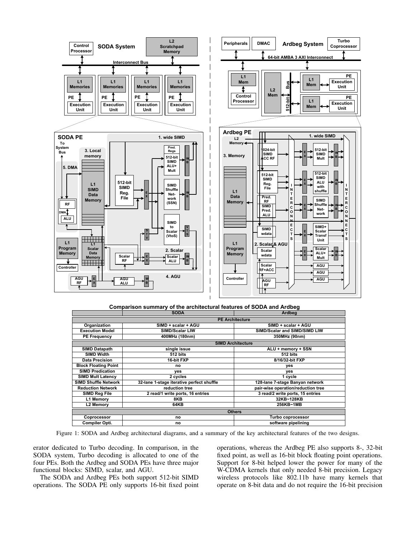

|  |  | Comparison summary of the architectural features of SODA and Ardbeg |
|--|--|---------------------------------------------------------------------|
|--|--|---------------------------------------------------------------------|

|                             | <b>SODA</b>                               | Ardbeg                             |  |  |  |
|-----------------------------|-------------------------------------------|------------------------------------|--|--|--|
| <b>PE Architecture</b>      |                                           |                                    |  |  |  |
| Organization                | SIMD + scalar + AGU                       | SIMD + scalar + AGU                |  |  |  |
| <b>Execution Model</b>      | <b>SIMD/Scalar LIW</b>                    | SIMD/Scalar and SIMD/SIMD LIW      |  |  |  |
| <b>PE Frequency</b>         | 400MHz (180nm)                            | 350MHz (90nm)                      |  |  |  |
|                             | <b>SIMD Architecture</b>                  |                                    |  |  |  |
| <b>SIMD Datapath</b>        | single issue                              | ALU + memory + SSN                 |  |  |  |
| <b>SIMD Width</b>           | 512 bits                                  | 512 bits                           |  |  |  |
| <b>Data Precision</b>       | 16-bit FXP                                | 8/16/32-bit FXP                    |  |  |  |
| <b>Block Floating Point</b> | no                                        | yes                                |  |  |  |
| <b>SIMD Predication</b>     | ves                                       | yes                                |  |  |  |
| <b>SIMD Mult Latency</b>    | 2 cycles                                  | 1 cycle                            |  |  |  |
| <b>SIMD Shuffle Network</b> | 32-lane 1-stage iterative perfect shuffle | 128-lane 7-stage Banyan network    |  |  |  |
| <b>Reduction Network</b>    | reduction tree                            | pair-wise operation/reduction tree |  |  |  |
| SIMD Reg File               | 2 read/1 write ports, 16 entries          | 3 read/2 write ports, 15 entries   |  |  |  |
| L1 Memory                   | 8KB                                       | 32KB~128KB                         |  |  |  |
| L2 Memory                   | 256KB~1MB<br>64KB                         |                                    |  |  |  |
| <b>Others</b>               |                                           |                                    |  |  |  |
| Coprocessor                 | no                                        | Turbo coprocessor                  |  |  |  |
| Compiler Opti.              | no                                        | software pipelining                |  |  |  |

Figure 1: SODA and Ardbeg architectural diagrams, and a summary of the key architectural features of the two designs.

erator dedicated to Turbo decoding. In comparison, in the SODA system, Turbo decoding is allocated to one of the four PEs. Both the Ardbeg and SODA PEs have three major functional blocks: SIMD, scalar, and AGU.

The SODA and Ardbeg PEs both support 512-bit SIMD operations. The SODA PE only supports 16-bit fixed point operations, whereas the Ardbeg PE also supports 8-, 32-bit fixed point, as well as 16-bit block floating point operations. Support for 8-bit helped lower the power for many of the W-CDMA kernels that only needed 8-bit precision. Legacy wireless protocols like 802.11b have many kernels that operate on 8-bit data and do not require the 16-bit precision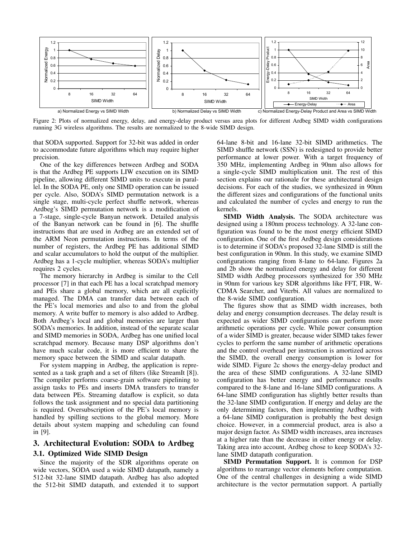

Figure 2: Plots of normalized energy, delay, and energy-delay product versus area plots for different Ardbeg SIMD width configurations running 3G wireless algorithms. The results are normalized to the 8-wide SIMD design.

that SODA supported. Support for 32-bit was added in order to accommodate future algorithms which may require higher precision.

One of the key differences between Ardbeg and SODA is that the Ardbeg PE supports LIW execution on its SIMD pipeline, allowing different SIMD units to execute in parallel. In the SODA PE, only one SIMD operation can be issued per cycle. Also, SODA's SIMD permutation network is a single stage, multi-cycle perfect shuffle network, whereas Ardbeg's SIMD permutation network is a modification of a 7-stage, single-cycle Banyan network. Detailed analysis of the Banyan network can be found in [6]. The shuffle instructions that are used in Ardbeg are an extended set of the ARM Neon permutation instructions. In terms of the number of registers, the Ardbeg PE has additional SIMD and scalar accumulators to hold the output of the multiplier. Ardbeg has a 1-cycle multiplier, whereas SODA's multiplier requires 2 cycles.

The memory hierarchy in Ardbeg is similar to the Cell processor [7] in that each PE has a local scratchpad memory and PEs share a global memory, which are all explicitly managed. The DMA can transfer data between each of the PE's local memories and also to and from the global memory. A write buffer to memory is also added to Ardbeg. Both Ardbeg's local and global memories are larger than SODA's memories. In addition, instead of the separate scalar and SIMD memories in SODA, Ardbeg has one unified local scratchpad memory. Because many DSP algorithms don't have much scalar code, it is more efficient to share the memory space between the SIMD and scalar datapath.

For system mapping in Ardbeg, the application is represented as a task graph and a set of filters (like StreamIt [8]). The compiler performs coarse-grain software pipelining to assign tasks to PEs and inserts DMA transfers to transfer data between PEs. Streaming dataflow is explicit, so data follows the task assignment and no special data partitioning is required. Oversubscription of the PE's local memory is handled by spilling sections to the global memory. More details about system mapping and scheduling can found in [9].

# 3. Architectural Evolution: SODA to Ardbeg 3.1. Optimized Wide SIMD Design

Since the majority of the SDR algorithms operate on wide vectors, SODA used a wide SIMD datapath, namely a 512-bit 32-lane SIMD datapath. Ardbeg has also adopted the 512-bit SIMD datapath, and extended it to support 64-lane 8-bit and 16-lane 32-bit SIMD arithmetics. The SIMD shuffle network (SSN) is redesigned to provide better performance at lower power. With a target frequency of 350 MHz, implementing Ardbeg in 90nm also allows for a single-cycle SIMD multiplication unit. The rest of this section explains our rationale for these architectural design decisions. For each of the studies, we synthesized in 90nm the different sizes and configurations of the functional units and calculated the number of cycles and energy to run the kernels.

SIMD Width Analysis. The SODA architecture was designed using a 180nm process technology. A 32-lane configuration was found to be the most energy efficient SIMD configuration. One of the first Ardbeg design considerations is to determine if SODA's proposed 32-lane SIMD is still the best configuration in 90nm. In this study, we examine SIMD configurations ranging from 8-lane to 64-lane. Figures 2a and 2b show the normalized energy and delay for different SIMD width Ardbeg processors synthesized for 350 MHz in 90nm for various key SDR algorithms like FFT, FIR, W-CDMA Searcher, and Viterbi. All values are normalized to the 8-wide SIMD configuration.

The figures show that as SIMD width increases, both delay and energy consumption decreases. The delay result is expected as wider SIMD configurations can perform more arithmetic operations per cycle. While power consumption of a wider SIMD is greater, because wider SIMD takes fewer cycles to perform the same number of arithmetic operations and the control overhead per instruction is amortized across the SIMD, the overall energy consumption is lower for wide SIMD. Figure 2c shows the energy-delay product and the area of these SIMD configurations. A 32-lane SIMD configuration has better energy and performance results compared to the 8-lane and 16-lane SIMD configurations. A 64-lane SIMD configuration has slightly better results than the 32-lane SIMD configuration. If energy and delay are the only determining factors, then implementing Ardbeg with a 64-lane SIMD configuration is probably the best design choice. However, in a commercial product, area is also a major design factor. As SIMD width increases, area increases at a higher rate than the decrease in either energy or delay. Taking area into account, Ardbeg chose to keep SODA's 32 lane SIMD datapath configuration.

SIMD Permutation Support. It is common for DSP algorithms to rearrange vector elements before computation. One of the central challenges in designing a wide SIMD architecture is the vector permutation support. A partially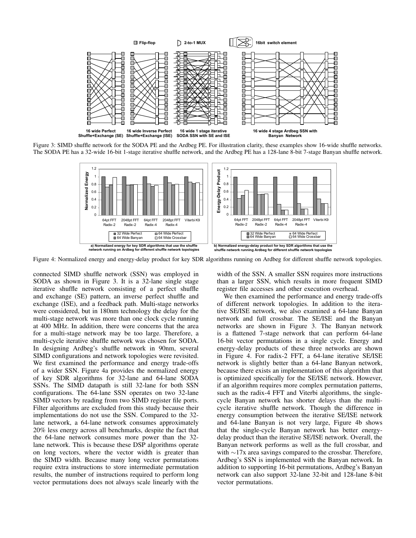

Figure 3: SIMD shuffle network for the SODA PE and the Ardbeg PE. For illustration clarity, these examples show 16-wide shuffle networks. The SODA PE has a 32-wide 16-bit 1-stage iterative shuffle network, and the Ardbeg PE has a 128-lane 8-bit 7-stage Banyan shuffle network.



Figure 4: Normalized energy and energy-delay product for key SDR algorithms running on Ardbeg for different shuffle network topologies.

connected SIMD shuffle network (SSN) was employed in SODA as shown in Figure 3. It is a 32-lane single stage iterative shuffle network consisting of a perfect shuffle and exchange (SE) pattern, an inverse perfect shuffle and exchange (ISE), and a feedback path. Multi-stage networks were considered, but in 180nm technology the delay for the multi-stage network was more than one clock cycle running at 400 MHz. In addition, there were concerns that the area for a multi-stage network may be too large. Therefore, a multi-cycle iterative shuffle network was chosen for SODA. In designing Ardbeg's shuffle network in 90nm, several SIMD configurations and network topologies were revisited. We first examined the performance and energy trade-offs of a wider SSN. Figure 4a provides the normalized energy of key SDR algorithms for 32-lane and 64-lane SODA SSNs. The SIMD datapath is still 32-lane for both SSN configurations. The 64-lane SSN operates on two 32-lane SIMD vectors by reading from two SIMD register file ports. Filter algorithms are excluded from this study because their implementations do not use the SSN. Compared to the 32 lane network, a 64-lane network consumes approximately 20% less energy across all benchmarks, despite the fact that the 64-lane network consumes more power than the 32 lane network. This is because these DSP algorithms operate on long vectors, where the vector width is greater than the SIMD width. Because many long vector permutations require extra instructions to store intermediate permutation results, the number of instructions required to perform long vector permutations does not always scale linearly with the

width of the SSN. A smaller SSN requires more instructions than a larger SSN, which results in more frequent SIMD register file accesses and other execution overhead.

We then examined the performance and energy trade-offs of different network topologies. In addition to the iterative SE/ISE network, we also examined a 64-lane Banyan network and full crossbar. The SE/ISE and the Banyan networks are shown in Figure 3. The Banyan network is a flattened 7-stage network that can perform 64-lane 16-bit vector permutations in a single cycle. Energy and energy-delay products of these three networks are shown in Figure 4. For radix-2 FFT, a 64-lane iterative SE/ISE network is slightly better than a 64-lane Banyan network, because there exists an implementation of this algorithm that is optimized specifically for the SE/ISE network. However, if an algorithm requires more complex permutation patterns, such as the radix-4 FFT and Viterbi algorithms, the singlecycle Banyan network has shorter delays than the multicycle iterative shuffle network. Though the difference in energy consumption between the iterative SE/ISE network and 64-lane Banyan is not very large, Figure 4b shows that the single-cycle Banyan network has better energydelay product than the iterative SE/ISE network. Overall, the Banyan network performs as well as the full crossbar, and with ∼17x area savings compared to the crossbar. Therefore, Ardbeg's SSN is implemented with the Banyan network. In addition to supporting 16-bit permutations, Ardbeg's Banyan network can also support 32-lane 32-bit and 128-lane 8-bit vector permutations.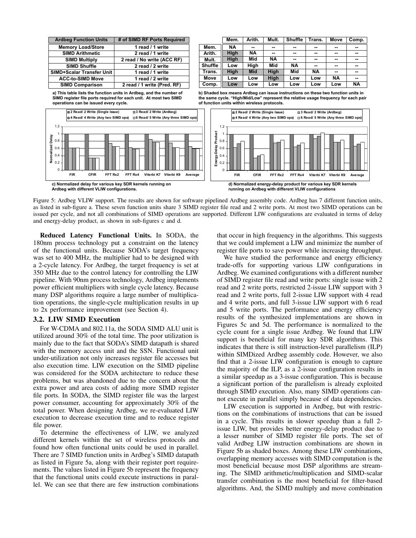| <b>Ardbeg Function Units</b>     | # of SIMD RF Ports Required |
|----------------------------------|-----------------------------|
| <b>Memory Load/Store</b>         | 1 read / 1 write            |
| <b>SIMD Arithmetic</b>           | 2 read / 1 write            |
| <b>SIMD Multiply</b>             | 2 read / No write (ACC RF)  |
| <b>SIMD Shuffle</b>              | 2 read / 2 write            |
| <b>SIMD+Scalar Transfer Unit</b> | 1 read / 1 write            |
| <b>ACC-to-SIMD Move</b>          | 1 read / 2 write            |
| <b>SIMD Comparison</b>           | 2 read / 1 write (Pred. RF) |

**Comp. b) Shaded box means Ardbeg can issue instructions on these two function units in the same cycle. "High/Mid/Low" represent the relative usage frequency for each pair a) This table lists the function units in Ardbeg, and the number of SIMD register file ports required for each unit. At most two SIMD** 



**Mem. Arith. Mult. Shuffle Trans. Move**

**Mem. NA High High Low High Low Low**

**Arith. -- NA Mid High Mid Low Low**

**Mult. -- -- NA Mid High High Low**

**Shuffle -- -- -- NA Mid Low Low**

**Trans. -- -- -- -- NA Low Low**

**Move -- -- -- -- -- NA Low**

**Comp. -- -- -- -- -- -- NA**

Figure 5: Ardbeg VLIW support. The results are shown for software pipelined Ardbeg assembly code. Ardbeg has 7 different function units, as listed in sub-figure a. These seven function units share 3 SIMD register file read and 2 write ports. At most two SIMD operations can be issued per cycle, and not all combinations of SIMD operations are supported. Different LIW configurations are evaluated in terms of delay and energy-delay product, as shown in sub-figures c and d.

Reduced Latency Functional Units. In SODA, the 180nm process technology put a constraint on the latency of the functional units. Because SODA's target frequency was set to 400 MHz, the multiplier had to be designed with a 2-cycle latency. For Ardbeg, the target frequency is set at 350 MHz due to the control latency for controlling the LIW pipeline. With 90nm process technology, Ardbeg implements power efficient multipliers with single cycle latency. Because many DSP algorithms require a large number of multiplication operations, the single-cycle multiplication results in up to 2x performance improvement (see Section 4).

#### 3.2. LIW SIMD Execution

For W-CDMA and 802.11a, the SODA SIMD ALU unit is utilized around 30% of the total time. The poor utilization is mainly due to the fact that SODA's SIMD datapath is shared with the memory access unit and the SSN. Functional unit under-utilization not only increases register file accesses but also execution time. LIW execution on the SIMD pipeline was considered for the SODA architecture to reduce these problems, but was abandoned due to the concern about the extra power and area costs of adding more SIMD register file ports. In SODA, the SIMD register file was the largest power consumer, accounting for approximately 30% of the total power. When designing Ardbeg, we re-evaluated LIW execution to decrease execution time and to reduce register file power.

To determine the effectiveness of LIW, we analyzed different kernels within the set of wireless protocols and found how often functional units could be used in parallel. There are 7 SIMD function units in Ardbeg's SIMD datapath as listed in Figure 5a, along with their register port requirements. The values listed in Figure 5b represent the frequency that the functional units could execute instructions in parallel. We can see that there are few instruction combinations that occur in high frequency in the algorithms. This suggests that we could implement a LIW and minimize the number of register file ports to save power while increasing throughput.

We have studied the performance and energy efficiency trade-offs for supporting various LIW configurations in Ardbeg. We examined configurations with a different number of SIMD register file read and write ports: single issue with 2 read and 2 write ports, restricted 2-issue LIW support with 3 read and 2 write ports, full 2-issue LIW support with 4 read and 4 write ports, and full 3-issue LIW support with 6 read and 5 write ports. The performance and energy efficiency results of the synthesized implementations are shown in Figures 5c and 5d. The performance is normalized to the cycle count for a single issue Ardbeg. We found that LIW support is beneficial for many key SDR algorithms. This indicates that there is still instruction-level parallelism (ILP) within SIMDized Ardbeg assembly code. However, we also find that a 2-issue LIW configuration is enough to capture the majority of the ILP, as a 2-issue configuration results in a similar speedup as a 3-issue configuration. This is because a significant portion of the parallelism is already exploited through SIMD execution. Also, many SIMD operations cannot execute in parallel simply because of data dependencies.

LIW execution is supported in Ardbeg, but with restrictions on the combinations of instructions that can be issued in a cycle. This results in slower speedup than a full 2 issue LIW, but provides better energy-delay product due to a lesser number of SIMD register file ports. The set of valid Ardbeg LIW instruction combinations are shown in Figure 5b as shaded boxes. Among these LIW combinations, overlapping memory accesses with SIMD computation is the most beneficial because most DSP algorithms are streaming. The SIMD arithmetic/multiplication and SIMD-scalar transfer combination is the most beneficial for filter-based algorithms. And, the SIMD multiply and move combination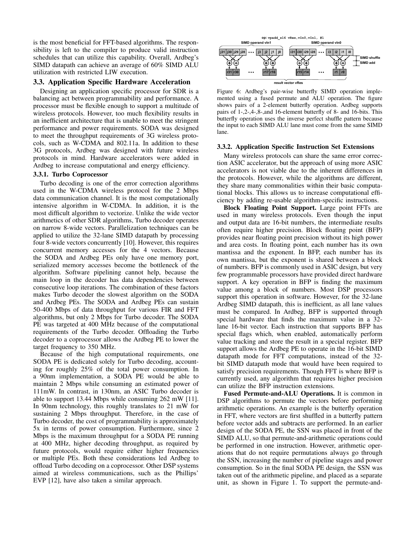is the most beneficial for FFT-based algorithms. The responsibility is left to the compiler to produce valid instruction schedules that can utilize this capability. Overall, Ardbeg's SIMD datapath can achieve an average of 60% SIMD ALU utilization with restricted LIW execution.

### 3.3. Application Specific Hardware Acceleration

Designing an application specific processor for SDR is a balancing act between programmability and performance. A processor must be flexible enough to support a multitude of wireless protocols. However, too much flexibility results in an inefficient architecture that is unable to meet the stringent performance and power requirements. SODA was designed to meet the throughput requirements of 3G wireless protocols, such as W-CDMA and 802.11a. In addition to these 3G protocols, Ardbeg was designed with future wireless protocols in mind. Hardware accelerators were added in Ardbeg to increase computational and energy efficiency.

#### 3.3.1. Turbo Coprocessor

Turbo decoding is one of the error correction algorithms used in the W-CDMA wireless protocol for the 2 Mbps data communication channel. It is the most computationally intensive algorithm in W-CDMA. In addition, it is the most difficult algorithm to vectorize. Unlike the wide vector arithmetics of other SDR algorithms, Turbo decoder operates on narrow 8-wide vectors. Parallelization techniques can be applied to utilize the 32-lane SIMD datapath by processing four 8-wide vectors concurrently [10]. However, this requires concurrent memory accesses for the 4 vectors. Because the SODA and Ardbeg PEs only have one memory port, serialized memory accesses become the bottleneck of the algorithm. Software pipelining cannot help, because the main loop in the decoder has data dependencies between consecutive loop iterations. The combination of these factors makes Turbo decoder the slowest algorithm on the SODA and Ardbeg PEs. The SODA and Ardbeg PEs can sustain 50-400 Mbps of data throughput for various FIR and FFT algorithms, but only 2 Mbps for Turbo decoder. The SODA PE was targeted at 400 MHz because of the computational requirements of the Turbo decoder. Offloading the Turbo decoder to a coprocessor allows the Ardbeg PE to lower the target frequency to 350 MHz.

Because of the high computational requirements, one SODA PE is dedicated solely for Turbo decoding, accounting for roughly 25% of the total power consumption. In a 90nm implementation, a SODA PE would be able to maintain 2 Mbps while consuming an estimated power of 111mW. In contrast, in 130nm, an ASIC Turbo decoder is able to support 13.44 Mbps while consuming 262 mW [11]. In 90nm technology, this roughly translates to 21 mW for sustaining 2 Mbps throughput. Therefore, in the case of Turbo decoder, the cost of programmability is approximately 5x in terms of power consumption. Furthermore, since 2 Mbps is the maximum throughput for a SODA PE running at 400 MHz, higher decoding throughput, as required by future protocols, would require either higher frequencies or multiple PEs. Both these considerations led Ardbeg to offload Turbo decoding on a coprocessor. Other DSP systems aimed at wireless communications, such as the Phillips' EVP [12], have also taken a similar approach.



Figure 6: Ardbeg's pair-wise butterfly SIMD operation implemented using a fused permute and ALU operation. The figure shows pairs of a 2-element butterfly operation. Ardbeg supports pairs of 1-,2-,4-,8-,and 16-element butterfly of 8- and 16-bits. This butterfly operation uses the inverse perfect shuffle pattern because the input to each SIMD ALU lane must come from the same SIMD lane.

#### 3.3.2. Application Specific Instruction Set Extensions

Many wireless protocols can share the same error correction ASIC accelerator, but the approach of using more ASIC accelerators is not viable due to the inherent differences in the protocols. However, while the algorithms are different, they share many commonalities within their basic computational blocks. This allows us to increase computational efficiency by adding re-usable algorithm-specific instructions.

Block Floating Point Support. Large point FFTs are used in many wireless protocols. Even though the input and output data are 16-bit numbers, the intermediate results often require higher precision. Block floating point (BFP) provides near floating point precision without its high power and area costs. In floating point, each number has its own mantissa and the exponent. In BFP, each number has its own mantissa, but the exponent is shared between a block of numbers. BFP is commonly used in ASIC design, but very few programmable processors have provided direct hardware support. A key operation in BFP is finding the maximum value among a block of numbers. Most DSP processors support this operation in software. However, for the 32-lane Ardbeg SIMD datapath, this is inefficient, as all lane values must be compared. In Ardbeg, BFP is supported through special hardware that finds the maximum value in a 32 lane 16-bit vector. Each instruction that supports BFP has special flags which, when enabled, automatically perform value tracking and store the result in a special register. BFP support allows the Ardbeg PE to operate in the 16-bit SIMD datapath mode for FFT computations, instead of the 32 bit SIMD datapath mode that would have been required to satisfy precision requirements. Though FFT is where BFP is currently used, any algorithm that requires higher precision can utilize the BFP instruction extensions.

Fused Permute-and-ALU Operations. It is common in DSP algorithms to permute the vectors before performing arithmetic operations. An example is the butterfly operation in FFT, where vectors are first shuffled in a butterfly pattern before vector adds and subtracts are performed. In an earlier design of the SODA PE, the SSN was placed in front of the SIMD ALU, so that permute-and-arithmetic operations could be performed in one instruction. However, arithmetic operations that do not require permutations always go through the SSN, increasing the number of pipeline stages and power consumption. So in the final SODA PE design, the SSN was taken out of the arithmetic pipeline, and placed as a separate unit, as shown in Figure 1. To support the permute-and-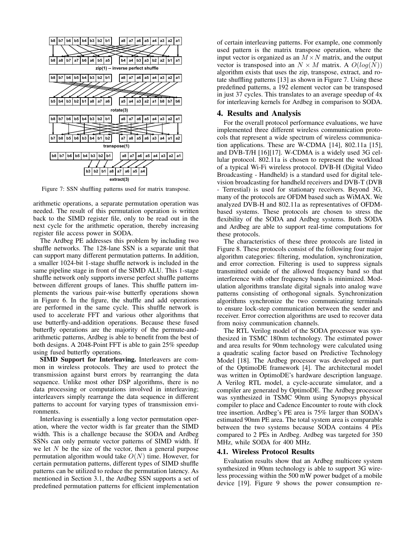

Figure 7: SSN shuffling patterns used for matrix transpose.

arithmetic operations, a separate permutation operation was needed. The result of this permutation operation is written back to the SIMD register file, only to be read out in the next cycle for the arithmetic operation, thereby increasing register file access power in SODA.

The Ardbeg PE addresses this problem by including two shuffle networks. The 128-lane SSN is a separate unit that can support many different permutation patterns. In addition, a smaller 1024-bit 1-stage shuffle network is included in the same pipeline stage in front of the SIMD ALU. This 1-stage shuffle network only supports inverse perfect shuffle patterns between different groups of lanes. This shuffle pattern implements the various pair-wise butterfly operations shown in Figure 6. In the figure, the shuffle and add operations are performed in the same cycle. This shuffle network is used to accelerate FFT and various other algorithms that use butterfly-and-addition operations. Because these fused butterfly operations are the majority of the permute-andarithmetic patterns, Ardbeg is able to benefit from the best of both designs. A 2048-Point FFT is able to gain 25% speedup using fused butterfly operations.

SIMD Support for Interleaving. Interleavers are common in wireless protocols. They are used to protect the transmission against burst errors by rearranging the data sequence. Unlike most other DSP algorithms, there is no data processing or computations involved in interleaving; interleavers simply rearrange the data sequence in different patterns to account for varying types of transmission environments.

Interleaving is essentially a long vector permutation operation, where the vector width is far greater than the SIMD width. This is a challenge because the SODA and Ardbeg SSNs can only permute vector patterns of SIMD width. If we let  $N$  be the size of the vector, then a general purpose permutation algorithm would take  $O(N)$  time. However, for certain permutation patterns, different types of SIMD shuffle patterns can be utilized to reduce the permutation latency. As mentioned in Section 3.1, the Ardbeg SSN supports a set of predefined permutation patterns for efficient implementation of certain interleaving patterns. For example, one commonly used pattern is the matrix transpose operation, where the input vector is organized as an  $M \times N$  matrix, and the output vector is transposed into an  $N \times M$  matrix. A  $O(log(N))$ algorithm exists that uses the zip, transpose, extract, and rotate shuffling patterns [13] as shown in Figure 7. Using these predefined patterns, a 192 element vector can be transposed in just 37 cycles. This translates to an average speedup of 4x for interleaving kernels for Ardbeg in comparison to SODA.

### 4. Results and Analysis

For the overall protocol performance evaluations, we have implemented three different wireless communication protocols that represent a wide spectrum of wireless communication applications. These are W-CDMA [14], 802.11a [15], and DVB-T/H [16][17]. W-CDMA is a widely used 3G cellular protocol. 802.11a is chosen to represent the workload of a typical Wi-Fi wireless protocol. DVB-H (Digital Video Broadcasting - Handheld) is a standard used for digital television broadcasting for handheld receivers and DVB-T (DVB - Terrestial) is used for stationary receivers. Beyond 3G, many of the protocols are OFDM based such as WiMAX. We analyzed DVB-H and 802.11a as representatives of OFDMbased systems. These protocols are chosen to stress the flexibility of the SODA and Ardbeg systems. Both SODA and Ardbeg are able to support real-time computations for these protocols.

The characteristics of these three protocols are listed in Figure 8. These protocols consist of the following four major algorithm categories: filtering, modulation, synchronization, and error correction. Filtering is used to suppress signals transmitted outside of the allowed frequency band so that interference with other frequency bands is minimized. Modulation algorithms translate digital signals into analog wave patterns consisting of orthogonal signals. Synchronization algorithms synchronize the two communicating terminals to ensure lock-step communication between the sender and receiver. Error correction algorithms are used to recover data from noisy communication channels.

The RTL Verilog model of the SODA processor was synthesized in TSMC 180nm technology. The estimated power and area results for 90nm technology were calculated using a quadratic scaling factor based on Predictive Technology Model [18]. The Ardbeg processor was developed as part of the OptimoDE framework [4]. The architectural model was written in OptimoDE's hardware description language. A Verilog RTL model, a cycle-accurate simulator, and a compiler are generated by OptimoDE. The Ardbeg processor was synthesized in TSMC 90nm using Synopsys physical compiler to place and Cadence Encounter to route with clock tree insertion. Ardbeg's PE area is 75% larger than SODA's estimated 90nm PE area. The total system area is comparable between the two systems because SODA contains 4 PEs compared to 2 PEs in Ardbeg. Ardbeg was targeted for 350 MHz, while SODA for 400 MHz.

#### 4.1. Wireless Protocol Results

Evaluation results show that an Ardbeg multicore system synthesized in 90nm technology is able to support 3G wireless processing within the 500 mW power budget of a mobile device [19]. Figure 9 shows the power consumption re-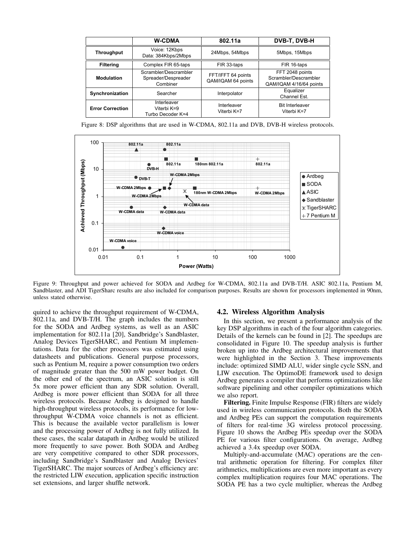|                         | <b>W-CDMA</b>                                            | 802.11a                                  | DVB-T, DVB-H                                                        |  |  |
|-------------------------|----------------------------------------------------------|------------------------------------------|---------------------------------------------------------------------|--|--|
| Throughput              | Voice: 12Kbps<br>Data: 384Kbps/2Mbps                     | 24Mbps, 54Mbps                           | 5Mbps, 15Mbps                                                       |  |  |
| <b>Filtering</b>        | Complex FIR 65-taps                                      | FIR 33-taps                              | FIR 16-taps                                                         |  |  |
| <b>Modulation</b>       | Scrambler/Descrambler<br>Spreader/Despreader<br>Combiner | FFT/IFFT 64 points<br>QAM/IQAM 64 points | FFT 2048 points<br>Scrambler/Descrambler<br>QAM/IQAM 4/16/64 points |  |  |
| Synchronization         | Searcher                                                 | Interpolator                             | Equalizer<br>Channel Est.                                           |  |  |
| <b>Error Correction</b> | Interleaver<br>Viterbi K=9<br>Turbo Decoder K=4          | Interleaver<br>Viterbi K=7               | <b>Bit Interleaver</b><br>Viterbi K=7                               |  |  |

Figure 8: DSP algorithms that are used in W-CDMA, 802.11a and DVB, DVB-H wireless protocols.



Figure 9: Throughput and power achieved for SODA and Ardbeg for W-CDMA, 802.11a and DVB-T/H. ASIC 802.11a, Pentium M, Sandblaster, and ADI TigerSharc results are also included for comparison purposes. Results are shown for processors implemented in 90nm, unless stated otherwise.

quired to achieve the throughput requirement of W-CDMA, 802.11a, and DVB-T/H. The graph includes the numbers for the SODA and Ardbeg systems, as well as an ASIC implementation for 802.11a [20], Sandbridge's Sandblaster, Analog Devices TigerSHARC, and Pentium M implementations. Data for the other processors was estimated using datasheets and publications. General purpose processors, such as Pentium M, require a power consumption two orders of magnitude greater than the 500 mW power budget. On the other end of the spectrum, an ASIC solution is still 5x more power efficient than any SDR solution. Overall, Ardbeg is more power efficient than SODA for all three wireless protocols. Because Ardbeg is designed to handle high-throughput wireless protocols, its performance for lowthroughput W-CDMA voice channels is not as efficient. This is because the available vector parallelism is lower and the processing power of Ardbeg is not fully utilized. In these cases, the scalar datapath in Ardbeg would be utilized more frequently to save power. Both SODA and Ardbeg are very competitive compared to other SDR processors, including Sandbridge's Sandblaster and Analog Devices' TigerSHARC. The major sources of Ardbeg's efficiency are: the restricted LIW execution, application specific instruction set extensions, and larger shuffle network.

#### 4.2. Wireless Algorithm Analysis

In this section, we present a performance analysis of the key DSP algorithms in each of the four algorithm categories. Details of the kernels can be found in [2]. The speedups are consolidated in Figure 10. The speedup analysis is further broken up into the Ardbeg architectural improvements that were highlighted in the Section 3. These improvements include: optimized SIMD ALU, wider single cycle SSN, and LIW execution. The OptimoDE framework used to design Ardbeg generates a compiler that performs optimizations like software pipelining and other compiler optimizations which we also report.

Filtering. Finite Impulse Response (FIR) filters are widely used in wireless communication protocols. Both the SODA and Ardbeg PEs can support the computation requirements of filters for real-time 3G wireless protocol processing. Figure 10 shows the Ardbeg PEs speedup over the SODA PE for various filter configurations. On average, Ardbeg achieved a 3.4x speedup over SODA.

Multiply-and-accumulate (MAC) operations are the central arithmetic operation for filtering. For complex filter arithmetics, multiplications are even more important as every complex multiplication requires four MAC operations. The SODA PE has a two cycle multiplier, whereas the Ardbeg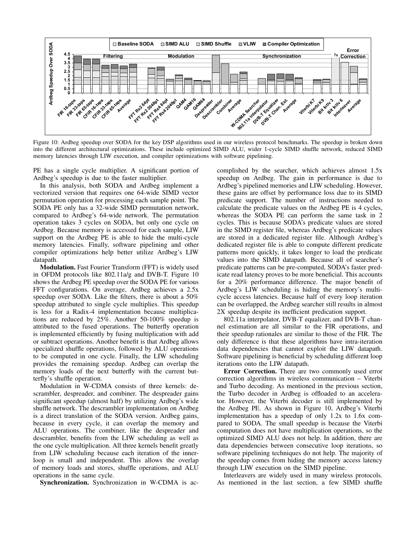

Figure 10: Ardbeg speedup over SODA for the key DSP algorithms used in our wireless protocol benchmarks. The speedup is broken down into the different architectural optimizations. These include optimized SIMD ALU, wider 1-cycle SIMD shuffle network, reduced SIMD memory latencies through LIW execution, and compiler optimizations with software pipelining.

PE has a single cycle multiplier. A significant portion of Ardbeg's speedup is due to the faster multiplier.

In this analysis, both SODA and Ardbeg implement a vectorized version that requires one 64-wide SIMD vector permutation operation for processing each sample point. The SODA PE only has a 32-wide SIMD permutation network, compared to Ardbeg's 64-wide network. The permutation operation takes 3 cycles on SODA, but only one cycle on Ardbeg. Because memory is accessed for each sample, LIW support on the Ardbeg PE is able to hide the multi-cycle memory latencies. Finally, software pipelining and other compiler optimizations help better utilize Ardbeg's LIW datapath.

Modulation. Fast Fourier Transform (FFT) is widely used in OFDM protocols like 802.11a/g and DVB-T. Figure 10 shows the Ardbeg PE speedup over the SODA PE for various FFT configurations. On average, Ardbeg achieves a 2.5x speedup over SODA. Like the filters, there is about a 50% speedup attributed to single cycle multiplies. This speedup is less for a Radix-4 implementation because multiplications are reduced by 25%. Another 50-100% speedup is attributed to the fused operations. The butterfly operation is implemented efficiently by fusing multiplication with add or subtract operations. Another benefit is that Ardbeg allows specialized shuffle operations, followed by ALU operations to be computed in one cycle. Finally, the LIW scheduling provides the remaining speedup. Ardbeg can overlap the memory loads of the next butterfly with the current butterfly's shuffle operation.

Modulation in W-CDMA consists of three kernels: descrambler, despreader, and combiner. The despreader gains significant speedup (almost half) by utilizing Ardbeg's wide shuffle network. The descrambler implementation on Ardbeg is a direct translation of the SODA version. Ardbeg gains, because in every cycle, it can overlap the memory and ALU operations. The combiner, like the despreader and descrambler, benefits from the LIW scheduling as well as the one cycle multiplication. All three kernels benefit greatly from LIW scheduling because each iteration of the innerloop is small and independent. This allows the overlap of memory loads and stores, shuffle operations, and ALU operations in the same cycle.

Synchronization. Synchronization in W-CDMA is ac-

complished by the searcher, which achieves almost 1.5x speedup on Ardbeg. The gain in performance is due to Ardbeg's pipelined memories and LIW scheduling. However, these gains are offset by performance loss due to its SIMD predicate support. The number of instructions needed to calculate the predicate values on the Ardbeg PE is 4 cycles, whereas the SODA PE can perform the same task in 2 cycles. This is because SODA's predicate values are stored in the SIMD register file, whereas Ardbeg's predicate values are stored in a dedicated register file. Although Ardbeg's dedicated register file is able to compute different predicate patterns more quickly, it takes longer to load the predicate values into the SIMD datapath. Because all of searcher's predicate patterns can be pre-computed, SODA's faster predicate read latency proves to be more beneficial. This accounts for a 20% performance difference. The major benefit of Ardbeg's LIW scheduling is hiding the memory's multicycle access latencies. Because half of every loop iteration can be overlapped, the Ardbeg searcher still results in almost 2X speedup despite its inefficient predication support.

802.11a interpolator, DVB-T equalizer, and DVB-T channel estimation are all similar to the FIR operations, and their speedup rationales are similar to those of the FIR. The only difference is that these algorithms have intra-iteration data dependencies that cannot exploit the LIW datapath. Software pipelining is beneficial by scheduling different loop iterations onto the LIW datapath.

Error Correction. There are two commonly used error correction algorithms in wireless communication – Viterbi and Turbo decoding. As mentioned in the previous section, the Turbo decoder in Ardbeg is offloaded to an accelerator. However, the Viterbi decoder is still implemented by the Ardbeg PE. As shown in Figure 10, Ardbeg's Viterbi implementation has a speedup of only 1.2x to 1.6x compared to SODA. The small speedup is because the Viterbi computation does not have multiplication operations, so the optimized SIMD ALU does not help. In addition, there are data dependencies between consecutive loop iterations, so software pipelining techniques do not help. The majority of the speedup comes from hiding the memory access latency through LIW execution on the SIMD pipeline.

Interleavers are widely used in many wireless protocols. As mentioned in the last section, a few SIMD shuffle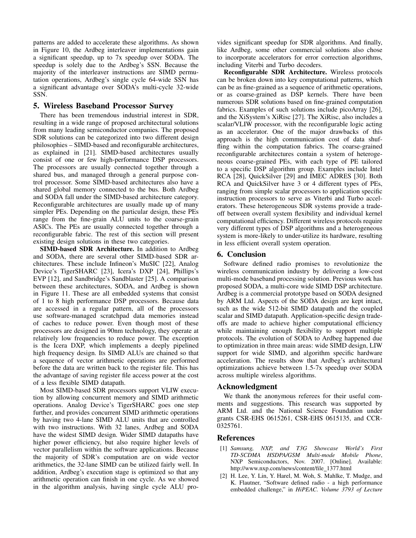patterns are added to accelerate these algorithms. As shown in Figure 10, the Ardbeg interleaver implementations gain a significant speedup, up to 7x speedup over SODA. The speedup is solely due to the Ardbeg's SSN. Because the majority of the interleaver instructions are SIMD permutation operations, Ardbeg's single cycle 64-wide SSN has a significant advantage over SODA's multi-cycle 32-wide SSN.

### 5. Wireless Baseband Processor Survey

There has been tremendous industrial interest in SDR, resulting in a wide range of proposed architectural solutions from many leading semiconductor companies. The proposed SDR solutions can be categorized into two different design philosophies – SIMD-based and reconfigurable architectures, as explained in [21]. SIMD-based architectures usually consist of one or few high-performance DSP processors. The processors are usually connected together through a shared bus, and managed through a general purpose control processor. Some SIMD-based architectures also have a shared global memory connected to the bus. Both Ardbeg and SODA fall under the SIMD-based architecture category. Reconfigurable architectures are usually made up of many simpler PEs. Depending on the particular design, these PEs range from the fine-grain ALU units to the coarse-grain ASICs. The PEs are usually connected together through a reconfigurable fabric. The rest of this section will present existing design solutions in these two categories.

SIMD-based SDR Architecture. In addition to Ardbeg and SODA, there are several other SIMD-based SDR architectures. These include Infineon's MuSIC [22], Analog Device's TigerSHARC [23], Icera's DXP [24], Phillips's EVP [12], and Sandbridge's Sandblaster [25]. A comparison between these architectures, SODA, and Ardbeg is shown in Figure 11. These are all embedded systems that consist of 1 to 8 high performance DSP processors. Because data are accessed in a regular pattern, all of the processors use software-managed scratchpad data memories instead of caches to reduce power. Even though most of these processors are designed in 90nm technology, they operate at relatively low frequencies to reduce power. The exception is the Icera DXP, which implements a deeply pipelined high frequency design. Its SIMD ALUs are chained so that a sequence of vector arithmetic operations are performed before the data are written back to the register file. This has the advantage of saving register file access power at the cost of a less flexible SIMD datapath.

Most SIMD-based SDR processors support VLIW execution by allowing concurrent memory and SIMD arithmetic operations. Analog Device's TigerSHARC goes one step further, and provides concurrent SIMD arithmetic operations by having two 4-lane SIMD ALU units that are controlled with two instructions. With 32 lanes, Ardbeg and SODA have the widest SIMD design. Wider SIMD datapaths have higher power efficiency, but also require higher levels of vector parallelism within the software applications. Because the majority of SDR's computation are on wide vector arithmetics, the 32-lane SIMD can be utilized fairly well. In addition, Ardbeg's execution stage is optimized so that any arithmetic operation can finish in one cycle. As we showed in the algorithm analysis, having single cycle ALU provides significant speedup for SDR algorithms. And finally, like Ardbeg, some other commercial solutions also chose to incorporate accelerators for error correction algorithms, including Viterbi and Turbo decoders.

Reconfigurable SDR Architecture. Wireless protocols can be broken down into key computational patterns, which can be as fine-grained as a sequence of arithmetic operations, or as coarse-grained as DSP kernels. There have been numerous SDR solutions based on fine-grained computation fabrics. Examples of such solutions include picoArray [26], and the XiSystem's XiRisc [27]. The XiRisc, also includes a scalar/VLIW processor, with the reconfigurable logic acting as an accelerator. One of the major drawbacks of this approach is the high communication cost of data shuffling within the computation fabrics. The coarse-grained reconfigurable architectures contain a system of heterogeneous coarse-grained PEs, with each type of PE tailored to a specific DSP algorithm group. Examples include Intel RCA [28], QuickSilver [29] and IMEC ADRES [30]. Both RCA and QuickSilver have 3 or 4 different types of PEs, ranging from simple scalar processors to application specific instruction processors to serve as Viterbi and Turbo accelerators. These heterogeneous SDR systems provide a tradeoff between overall system flexibility and individual kernel computational efficiency. Different wireless protocols require very different types of DSP algorithms and a heterogeneous system is more-likely to under-utilize its hardware, resulting in less efficient overall system operation.

## 6. Conclusion

Software defined radio promises to revolutionize the wireless communication industry by delivering a low-cost multi-mode baseband processing solution. Previous work has proposed SODA, a multi-core wide SIMD DSP architecture. Ardbeg is a commercial prototype based on SODA designed by ARM Ltd. Aspects of the SODA design are kept intact, such as the wide 512-bit SIMD datapath and the coupled scalar and SIMD datapath. Application-specific design tradeoffs are made to achieve higher computational efficiency while maintaining enough flexibility to support multiple protocols. The evolution of SODA to Ardbeg happened due to optimization in three main areas: wide SIMD design, LIW support for wide SIMD, and algorithm specific hardware acceleration. The results show that Ardbeg's architectural optimizations achieve between 1.5-7x speedup over SODA across multiple wireless algorithms.

### Acknowledgment

We thank the anonymous referees for their useful comments and suggestions. This research was supported by ARM Ltd. and the National Science Foundation under grants CSR-EHS 0615261, CSR-EHS 0615135, and CCR-0325761.

#### References

- [1] *Samsung, NXP, and T3G Showcase World's First TD-SCDMA HSDPA/GSM Multi-mode Mobile Phone*, NXP Semiconductors, Nov. 2007. [Online]. Available: http://www.nxp.com/news/content/file 1377.html
- [2] H. Lee, Y. Lin, Y. Harel, M. Woh, S. Mahlke, T. Mudge, and K. Flautner, "Software defined radio - a high performance embedded challenge," in *HiPEAC. Volume 3793 of Lecture*